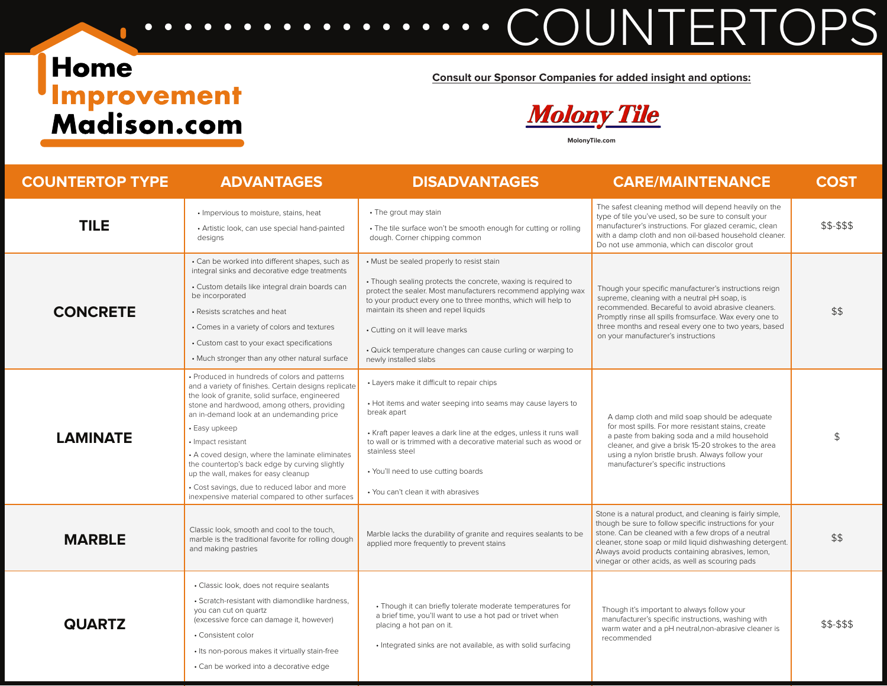## Home **Improvement**<br>Madison.com

**Consult our Sponsor Companies for added insight and options:**

**COUNTERTOPS** 

**Molony Tile** 

**MolonyTile.com**

| <b>COUNTERTOP TYPE</b> | <b>ADVANTAGES</b>                                                                                                                                                                                                                                                                                                                                                                                                                                                                                                                          | <b>DISADVANTAGES</b>                                                                                                                                                                                                                                                                                                                                                                                             | <b>CARE/MAINTENANCE</b>                                                                                                                                                                                                                                                                                                                             | <b>COST</b> |
|------------------------|--------------------------------------------------------------------------------------------------------------------------------------------------------------------------------------------------------------------------------------------------------------------------------------------------------------------------------------------------------------------------------------------------------------------------------------------------------------------------------------------------------------------------------------------|------------------------------------------------------------------------------------------------------------------------------------------------------------------------------------------------------------------------------------------------------------------------------------------------------------------------------------------------------------------------------------------------------------------|-----------------------------------------------------------------------------------------------------------------------------------------------------------------------------------------------------------------------------------------------------------------------------------------------------------------------------------------------------|-------------|
| <b>TILE</b>            | • Impervious to moisture, stains, heat<br>• Artistic look, can use special hand-painted<br>designs                                                                                                                                                                                                                                                                                                                                                                                                                                         | • The grout may stain<br>• The tile surface won't be smooth enough for cutting or rolling<br>dough. Corner chipping common                                                                                                                                                                                                                                                                                       | The safest cleaning method will depend heavily on the<br>type of tile you've used, so be sure to consult your<br>manufacturer's instructions. For glazed ceramic, clean<br>with a damp cloth and non oil-based household cleaner.<br>Do not use ammonia, which can discolor grout                                                                   | \$\$-\$\$\$ |
| <b>CONCRETE</b>        | • Can be worked into different shapes, such as<br>integral sinks and decorative edge treatments<br>· Custom details like integral drain boards can<br>be incorporated<br>• Resists scratches and heat<br>• Comes in a variety of colors and textures<br>• Custom cast to your exact specifications<br>• Much stronger than any other natural surface                                                                                                                                                                                       | • Must be sealed properly to resist stain<br>• Though sealing protects the concrete, waxing is required to<br>protect the sealer. Most manufacturers recommend applying wax<br>to your product every one to three months, which will help to<br>maintain its sheen and repel liquids<br>• Cutting on it will leave marks<br>• Quick temperature changes can cause curling or warping to<br>newly installed slabs | Though your specific manufacturer's instructions reign<br>supreme, cleaning with a neutral pH soap, is<br>recommended. Becareful to avoid abrasive cleaners.<br>Promptly rinse all spills fromsurface. Wax every one to<br>three months and reseal every one to two years, based<br>on your manufacturer's instructions                             | \$\$        |
| <b>LAMINATE</b>        | · Produced in hundreds of colors and patterns<br>and a variety of finishes. Certain designs replicate<br>the look of granite, solid surface, engineered<br>stone and hardwood, among others, providing<br>an in-demand look at an undemanding price<br>• Easy upkeep<br>• Impact resistant<br>• A coved design, where the laminate eliminates<br>the countertop's back edge by curving slightly<br>up the wall, makes for easy cleanup<br>· Cost savings, due to reduced labor and more<br>inexpensive material compared to other surfaces | • Layers make it difficult to repair chips<br>• Hot items and water seeping into seams may cause layers to<br>break apart<br>• Kraft paper leaves a dark line at the edges, unless it runs wall<br>to wall or is trimmed with a decorative material such as wood or<br>stainless steel<br>• You'll need to use cutting boards<br>• You can't clean it with abrasives                                             | A damp cloth and mild soap should be adequate<br>for most spills. For more resistant stains, create<br>a paste from baking soda and a mild household<br>cleaner, and give a brisk 15-20 strokes to the area<br>using a nylon bristle brush. Always follow your<br>manufacturer's specific instructions                                              | \$          |
| <b>MARBLE</b>          | Classic look, smooth and cool to the touch,<br>marble is the traditional favorite for rolling dough<br>and making pastries                                                                                                                                                                                                                                                                                                                                                                                                                 | Marble lacks the durability of granite and requires sealants to be<br>applied more frequently to prevent stains                                                                                                                                                                                                                                                                                                  | Stone is a natural product, and cleaning is fairly simple,<br>though be sure to follow specific instructions for your<br>stone. Can be cleaned with a few drops of a neutral<br>cleaner, stone soap or mild liquid dishwashing detergent.<br>Always avoid products containing abrasives, lemon,<br>vinegar or other acids, as well as scouring pads | \$\$        |
| <b>QUARTZ</b>          | · Classic look, does not require sealants<br>• Scratch-resistant with diamondlike hardness.<br>you can cut on quartz<br>(excessive force can damage it, however)<br>• Consistent color<br>• Its non-porous makes it virtually stain-free<br>• Can be worked into a decorative edge                                                                                                                                                                                                                                                         | • Though it can briefly tolerate moderate temperatures for<br>a brief time, you'll want to use a hot pad or trivet when<br>placing a hot pan on it.<br>· Integrated sinks are not available, as with solid surfacing                                                                                                                                                                                             | Though it's important to always follow your<br>manufacturer's specific instructions, washing with<br>warm water and a pH neutral, non-abrasive cleaner is<br>recommended                                                                                                                                                                            | \$\$-\$\$\$ |

 $\bullet\quadbullet$ 

 $\bullet$